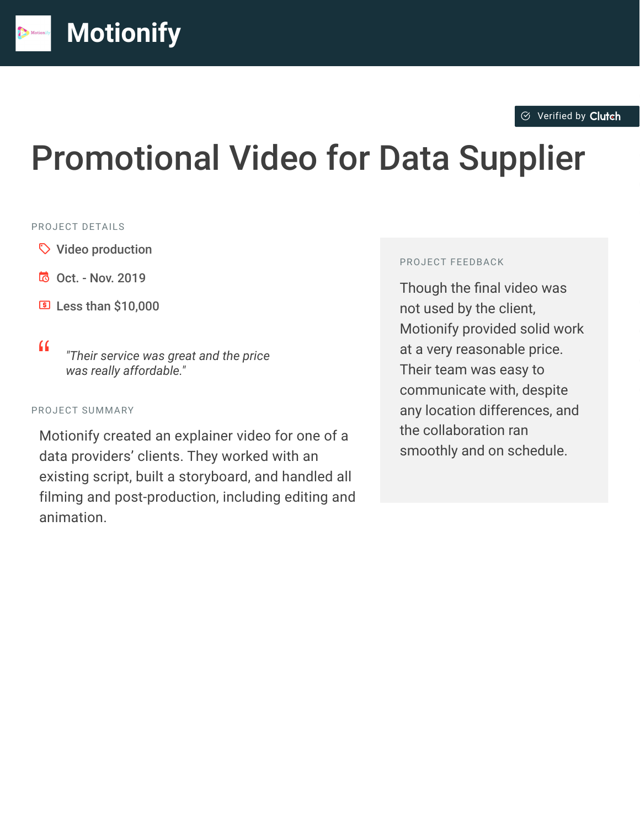# Promotional Video for Data Supplier

#### PROJECT DETAILS

- $\heartsuit$  Video production
- B Oct. Nov. 2019
- $5$  Less than \$10,000
- 

<sup>D</sup> *"Their service was great and the price was really affordable."*

#### PROJECT SUMMARY

Motionify created an explainer video for one of a data providers' clients. They worked with an existing script, built a storyboard, and handled all filming and post-production, including editing and animation.

#### PROJECT FEEDBACK

Though the final video was not used by the client, Motionify provided solid work at a very reasonable price. Their team was easy to communicate with, despite any location differences, and the collaboration ran smoothly and on schedule.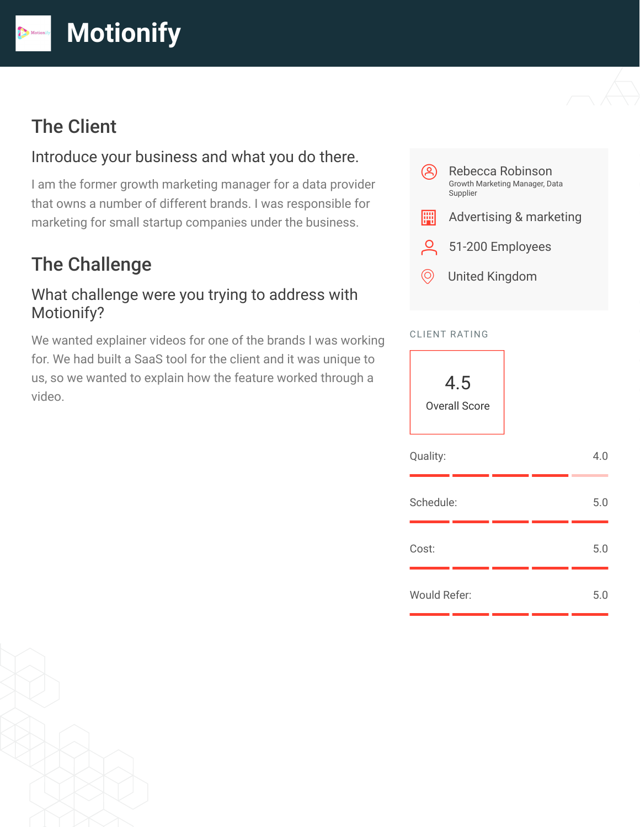# The Client

#### Introduce your business and what you do there.

I am the former growth marketing manager for a data provider that owns a number of different brands. I was responsible for marketing for small startup companies under the business.

## The Challenge

#### What challenge were you trying to address with Motionify?

We wanted explainer videos for one of the brands I was working for. We had built a SaaS tool for the client and it was unique to us, so we wanted to explain how the feature worked through a video.



#### CLIENT RATING



| Quality:     |  | 4.0 |
|--------------|--|-----|
| Schedule:    |  | 5.0 |
| Cost:        |  | 5.0 |
| Would Refer: |  | 5.0 |

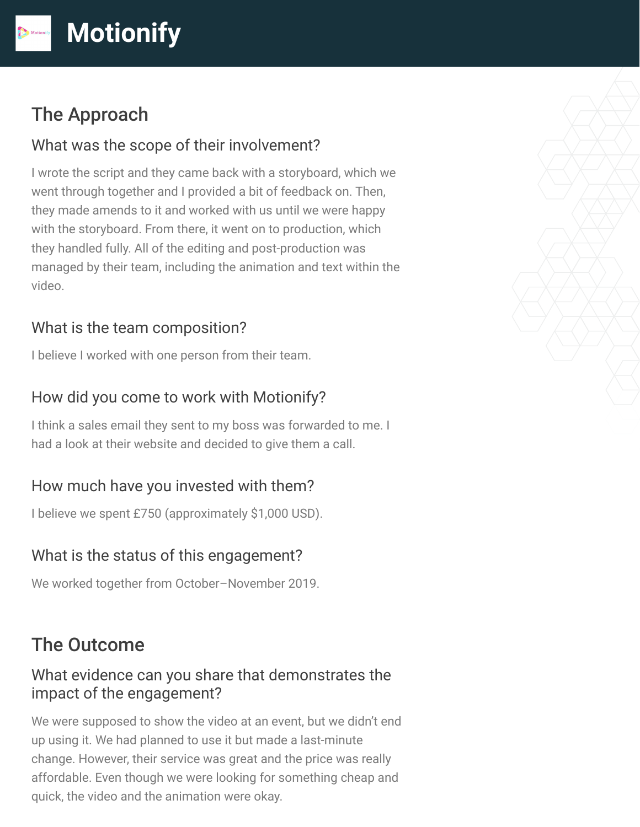# The Approach

#### What was the scope of their involvement?

I wrote the script and they came back with a storyboard, which we went through together and I provided a bit of feedback on. Then, they made amends to it and worked with us until we were happy with the storyboard. From there, it went on to production, which they handled fully. All of the editing and post-production was managed by their team, including the animation and text within the video.

## What is the team composition?

I believe I worked with one person from their team.

## How did you come to work with Motionify?

I think a sales email they sent to my boss was forwarded to me. I had a look at their website and decided to give them a call.

## How much have you invested with them?

I believe we spent £750 (approximately \$1,000 USD).

## What is the status of this engagement?

We worked together from October–November 2019.

# The Outcome

#### What evidence can you share that demonstrates the impact of the engagement?

We were supposed to show the video at an event, but we didn't end up using it. We had planned to use it but made a last-minute change. However, their service was great and the price was really affordable. Even though we were looking for something cheap and quick, the video and the animation were okay.